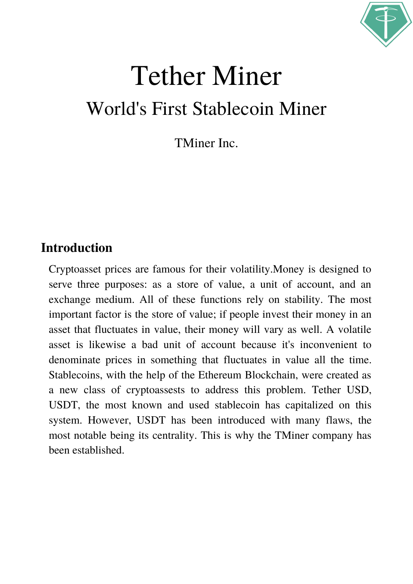

# Tether Miner World's First Stablecoin Miner

TMiner Inc.

### **Introduction**

Cryptoasset prices are famous for their volatility.Money is designed to serve three purposes: as a store of value, a unit of account, and an exchange medium. All of these functions rely on stability. The most important factor is the store of value; if people invest their money in an asset that fluctuates in value, their money will vary as well. A volatile asset is likewise a bad unit of account because it's inconvenient to denominate prices in something that fluctuates in value all the time. Stablecoins, with the help of the Ethereum Blockchain, were created as a new class of cryptoassests to address this problem. Tether USD, USDT, the most known and used stablecoin has capitalized on this system. However, USDT has been introduced with many flaws, the most notable being its centrality. This is why the TMiner company has been established.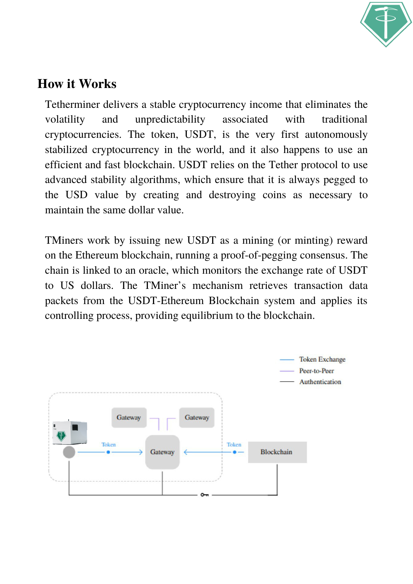

### **How it Works**

Tetherminer delivers a stable cryptocurrency income that eliminates the volatility and unpredictability associated with traditional cryptocurrencies. The token, USDT, is the very first autonomously stabilized cryptocurrency in the world, and it also happens to use an efficient and fast blockchain. USDT relies on the Tether protocol to use advanced stability algorithms, which ensure that it is always pegged to the USD value by creating and destroying coins as necessary to maintain the same dollar value.

TMiners work by issuing new USDT as a mining (or minting) reward on the Ethereum blockchain, running a proof-of-pegging consensus. The chain is linked to an oracle, which monitors the exchange rate of USDT to US dollars. The TMiner's mechanism retrieves transaction data packets from the USDT-Ethereum Blockchain system and applies its controlling process, providing equilibrium to the blockchain.

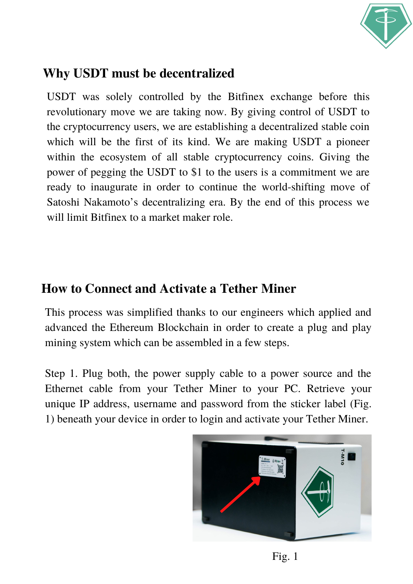

## **Why USDT must be decentralized**

USDT was solely controlled by the Bitfinex exchange before this revolutionary move we are taking now. By giving control of USDT to the cryptocurrency users, we are establishing a decentralized stable coin which will be the first of its kind. We are making USDT a pioneer within the ecosystem of all stable cryptocurrency coins. Giving the power of pegging the USDT to \$1 to the users is a commitment we are ready to inaugurate in order to continue the world-shifting move of Satoshi Nakamoto's decentralizing era. By the end of this process we will limit Bitfinex to a market maker role.

### **How to Connect and Activate a Tether Miner**

This process was simplified thanks to our engineers which applied and advanced the Ethereum Blockchain in order to create a plug and play mining system which can be assembled in a few steps.

Step 1. Plug both, the power supply cable to a power source and the Ethernet cable from your Tether Miner to your PC. Retrieve your unique IP address, username and password from the sticker label (Fig. 1) beneath your device in order to login and activate your Tether Miner.